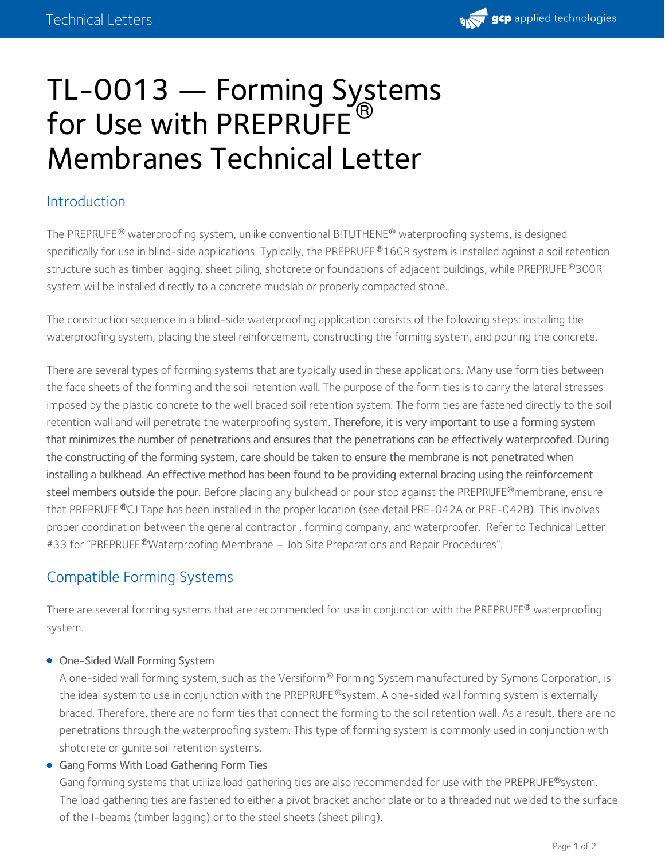

# TL-0013 — Forming Systems for Use with PREPRUFE<sup>®</sup> Membranes Technical Letter

## Introduction

The PREPRUFE  $^\circledR$  waterproofing system, unlike conventional BITUTHENE  $^\circledR$  waterproofing systems, is designed specifically for use in blind-side applications. Typically, the PREPRUFE®160R system is installed against a soil retention structure such as timber lagging, sheet piling, shotcrete or foundations of adjacent buildings, while PREPRUFE®300R system will be installed directly to a concrete mudslab or properly compacted stone..

The construction sequence in a blind-side waterproofing application consists of the following steps: installing the waterproofing system, placing the steel reinforcement, constructing the forming system, and pouring the concrete.

There are several types of forming systems that are typically used in these applications. Many use form ties between the face sheets of the forming and the soil retention wall. The purpose of the form ties is to carry the lateral stresses imposed by the plastic concrete to the well braced soil retention system. The form ties are fastened directly to the soil retention wall and will penetrate the waterproofing system. Therefore, it is very important to use a forming system that minimizes the number of penetrations and ensures that the penetrations can be effectively waterproofed. During the constructing of the forming system, care should be taken to ensure the membrane is not penetrated when installing a bulkhead. An effective method has been found to be providing external bracing using the reinforcement  $\,$ steel members outside the pour. Before placing any bulkhead or pour stop against the <code>PREPRUFE®</code>membrane, ensure that PREPRUFE®CJ Tape has been installed in the proper location (see detail PRE-042A or PRE-042B). This involves proper coordination between the general contractor, forming company, and waterproofer. Refer to Technical Letter #33 for "PREPRUFE®[Waterproofing](https://ca.gcpat.com/node/54391) Membrane – Job Site Preparations and Repair Procedures".

## Compatible Forming Systems

There are several forming systems that are recommended for use in conjunction with the <code>PREPRUFE®</code> waterproofing system.

#### One-Sided Wall Forming System

A one-sided wall forming system, such as the Versiform® Forming System manufactured by Symons Corporation, is the ideal system to use in conjunction with the PREPRUFE®system. A one-sided wall forming system is externally braced. Therefore, there are no form ties that connect the forming to the soil retention wall. As a result, there are no penetrations through the waterproofing system. This type of forming system is commonly used in conjunction with shotcrete or gunite soil retention systems.

Gang Forms With Load Gathering Form Ties

Gang forming systems that utilize load gathering ties are also recommended for use with the PREPRUFE®system.  $\,$ The load gathering ties are fastened to either a pivot bracket anchor plate or to a threaded nut welded to the surface of the I-beams (timber lagging) or to the steel sheets (sheet piling).